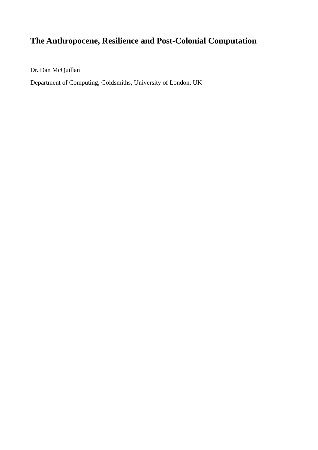# **The Anthropocene, Resilience and Post-Colonial Computation**

Dr. Dan McQuillan

Department of Computing, Goldsmiths, University of London, UK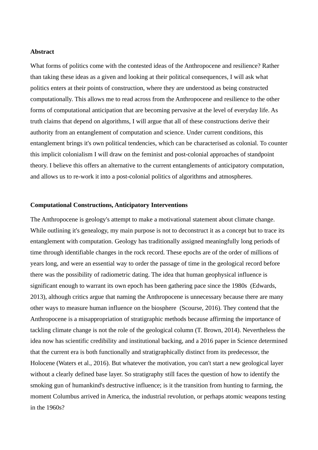#### **Abstract**

What forms of politics come with the contested ideas of the Anthropocene and resilience? Rather than taking these ideas as a given and looking at their political consequences, I will ask what politics enters at their points of construction, where they are understood as being constructed computationally. This allows me to read across from the Anthropocene and resilience to the other forms of computational anticipation that are becoming pervasive at the level of everyday life. As truth claims that depend on algorithms, I will argue that all of these constructions derive their authority from an entanglement of computation and science. Under current conditions, this entanglement brings it's own political tendencies, which can be characterised as colonial. To counter this implicit colonialism I will draw on the feminist and post-colonial approaches of standpoint theory. I believe this offers an alternative to the current entanglements of anticipatory computation, and allows us to re-work it into a post-colonial politics of algorithms and atmospheres.

### **Computational Constructions, Anticipatory Interventions**

The Anthropocene is geology's attempt to make a motivational statement about climate change. While outlining it's genealogy, my main purpose is not to deconstruct it as a concept but to trace its entanglement with computation. Geology has traditionally assigned meaningfully long periods of time through identifiable changes in the rock record. These epochs are of the order of millions of years long, and were an essential way to order the passage of time in the geological record before there was the possibility of radiometric dating. The idea that human geophysical influence is significant enough to warrant its own epoch has been gathering pace since the 1980s (Edwards, 2013), although critics argue that naming the Anthropocene is unnecessary because there are many other ways to measure human influence on the biosphere (Scourse, 2016). They contend that the Anthropocene is a misappropriation of stratigraphic methods because affirming the importance of tackling climate change is not the role of the geological column (T. Brown, 2014). Nevertheless the idea now has scientific credibility and institutional backing, and a 2016 paper in Science determined that the current era is both functionally and stratigraphically distinct from its predecessor, the Holocene (Waters et al., 2016). But whatever the motivation, you can't start a new geological layer without a clearly defined base layer. So stratigraphy still faces the question of how to identify the smoking gun of humankind's destructive influence; is it the transition from hunting to farming, the moment Columbus arrived in America, the industrial revolution, or perhaps atomic weapons testing in the 1960s?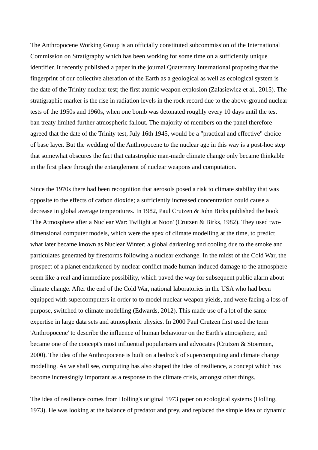The Anthropocene Working Group is an officially constituted subcommission of the International Commission on Stratigraphy which has been working for some time on a sufficiently unique identifier. It recently published a paper in the journal Quaternary International proposing that the fingerprint of our collective alteration of the Earth as a geological as well as ecological system is the date of the Trinity nuclear test; the first atomic weapon explosion (Zalasiewicz et al., 2015). The stratigraphic marker is the rise in radiation levels in the rock record due to the above-ground nuclear tests of the 1950s and 1960s, when one bomb was detonated roughly every 10 days until the test ban treaty limited further atmospheric fallout. The majority of members on the panel therefore agreed that the date of the Trinity test, July 16th 1945, would be a "practical and effective" choice of base layer. But the wedding of the Anthropocene to the nuclear age in this way is a post-hoc step that somewhat obscures the fact that catastrophic man-made climate change only became thinkable in the first place through the entanglement of nuclear weapons and computation.

Since the 1970s there had been recognition that aerosols posed a risk to climate stability that was opposite to the effects of carbon dioxide; a sufficiently increased concentration could cause a decrease in global average temperatures. In 1982, Paul Crutzen & John Birks published the book 'The Atmosphere after a Nuclear War: Twilight at Noon' (Crutzen & Birks, 1982). They used twodimensional computer models, which were the apex of climate modelling at the time, to predict what later became known as Nuclear Winter; a global darkening and cooling due to the smoke and particulates generated by firestorms following a nuclear exchange. In the midst of the Cold War, the prospect of a planet endarkened by nuclear conflict made human-induced damage to the atmosphere seem like a real and immediate possibility, which paved the way for subsequent public alarm about climate change. After the end of the Cold War, national laboratories in the USA who had been equipped with supercomputers in order to to model nuclear weapon yields, and were facing a loss of purpose, switched to climate modelling (Edwards, 2012). This made use of a lot of the same expertise in large data sets and atmospheric physics. In 2000 Paul Crutzen first used the term 'Anthropocene' to describe the influence of human behaviour on the Earth's atmosphere, and became one of the concept's most influential popularisers and advocates (Crutzen & Stoermer., 2000). The idea of the Anthropocene is built on a bedrock of supercomputing and climate change modelling. As we shall see, computing has also shaped the idea of resilience, a concept which has become increasingly important as a response to the climate crisis, amongst other things.

The idea of resilience comes from Holling's original 1973 paper on ecological systems (Holling, 1973). He was looking at the balance of predator and prey, and replaced the simple idea of dynamic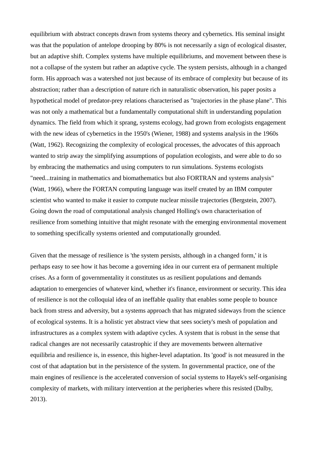equilibrium with abstract concepts drawn from systems theory and cybernetics. His seminal insight was that the population of antelope drooping by 80% is not necessarily a sign of ecological disaster, but an adaptive shift. Complex systems have multiple equilibriums, and movement between these is not a collapse of the system but rather an adaptive cycle. The system persists, although in a changed form. His approach was a watershed not just because of its embrace of complexity but because of its abstraction; rather than a description of nature rich in naturalistic observation, his paper posits a hypothetical model of predator-prey relations characterised as "trajectories in the phase plane". This was not only a mathematical but a fundamentally computational shift in understanding population dynamics. The field from which it sprang, systems ecology, had grown from ecologists engagement with the new ideas of cybernetics in the 1950's (Wiener, 1988) and systems analysis in the 1960s (Watt, 1962). Recognizing the complexity of ecological processes, the advocates of this approach wanted to strip away the simplifying assumptions of population ecologists, and were able to do so by embracing the mathematics and using computers to run simulations. Systems ecologists "need...training in mathematics and biomathematics but also FORTRAN and systems analysis" (Watt, 1966), where the FORTAN computing language was itself created by an IBM computer scientist who wanted to make it easier to compute nuclear missile trajectories (Bergstein, 2007). Going down the road of computational analysis changed Holling's own characterisation of resilience from something intuitive that might resonate with the emerging environmental movement to something specifically systems oriented and computationally grounded.

Given that the message of resilience is 'the system persists, although in a changed form,' it is perhaps easy to see how it has become a governing idea in our current era of permanent multiple crises. As a form of governmentality it constitutes us as resilient populations and demands adaptation to emergencies of whatever kind, whether it's finance, environment or security. This idea of resilience is not the colloquial idea of an ineffable quality that enables some people to bounce back from stress and adversity, but a systems approach that has migrated sideways from the science of ecological systems. It is a holistic yet abstract view that sees society's mesh of population and infrastructures as a complex system with adaptive cycles. A system that is robust in the sense that radical changes are not necessarily catastrophic if they are movements between alternative equilibria and resilience is, in essence, this higher-level adaptation. Its 'good' is not measured in the cost of that adaptation but in the persistence of the system. In governmental practice, one of the main engines of resilience is the accelerated conversion of social systems to Hayek's self-organising complexity of markets, with military intervention at the peripheries where this resisted (Dalby, 2013).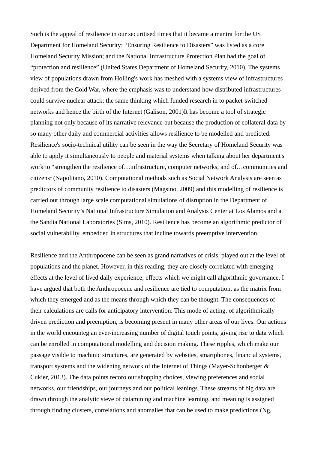Such is the appeal of resilience in our securitised times that it became a mantra for the US Department for Homeland Security: "Ensuring Resilience to Disasters" was listed as a core Homeland Security Mission; and the National Infrastructure Protection Plan had the goal of "protection and resilience" (United States Department of Homeland Security, 2010). The systems view of populations drawn from Holling's work has meshed with a systems view of infrastructures derived from the Cold War, where the emphasis was to understand how distributed infrastructures could survive nuclear attack; the same thinking which funded research in to packet-switched networks and hence the birth of the Internet (Galison, 2001)It has become a tool of strategic planning not only because of its narrative relevance but because the production of collateral data by so many other daily and commercial activities allows resilience to be modelled and predicted. Resilience's socio-technical utility can be seen in the way the Secretary of Homeland Security was able to apply it simultaneously to people and material systems when talking about her department's work to "strengthen the resilience of…infrastructure, computer networks, and of…communities and citizens" (Napolitano, 2010). Computational methods such as Social Network Analysis are seen as predictors of community resilience to disasters (Magsino, 2009) and this modelling of resilience is carried out through large scale computational simulations of disruption in the Department of Homeland Security's National Infrastructure Simulation and Analysis Center at Los Alamos and at the Sandia National Laboratories (Sims, 2010). Resilience has become an algorithmic predictor of social vulnerability, embedded in structures that incline towards preemptive intervention.

Resilience and the Anthropocene can be seen as grand narratives of crisis, played out at the level of populations and the planet. However, in this reading, they are closely correlated with emerging effects at the level of lived daily experience; effects which we might call algorithmic governance. I have argued that both the Anthropocene and resilience are tied to computation, as the matrix from which they emerged and as the means through which they can be thought. The consequences of their calculations are calls for anticipatory intervention. This mode of acting, of algorithmically driven prediction and preemption, is becoming present in many other areas of our lives. Our actions in the world encounteg an ever-increasing number of digital touch points, giving rise to data which can be enrolled in computational modelling and decision making. These ripples, which make our passage visible to machinic structures, are generated by websites, smartphones, financial systems, transport systems and the widening network of the Internet of Things (Mayer-Schonberger & Cukier, 2013). The data points recoro our shopping choices, viewing preferences and social networks, our friendships, our journeys and our political leanings. These streams of big data are drawn through the analytic sieve of datamining and machine learning, and meaning is assigned through finding clusters, correlations and anomalies that can be used to make predictions (Ng,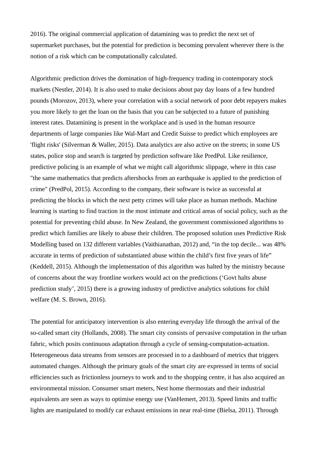2016). The original commercial application of datamining was to predict the next set of supermarket purchases, but the potential for prediction is becoming prevalent wherever there is the notion of a risk which can be computationally calculated.

Algorithmic prediction drives the domination of high-frequency trading in contemporary stock markets (Nestler, 2014). It is also used to make decisions about pay day loans of a few hundred pounds (Morozov, 2013), where your correlation with a social network of poor debt repayers makes you more likely to get the loan on the basis that you can be subjected to a future of punishing interest rates. Datamining is present in the workplace and is used in the human resource departments of large companies like Wal-Mart and Credit Suisse to predict which employees are 'flight risks' (Silverman & Waller, 2015). Data analytics are also active on the streets; in some US states, police stop and search is targeted by prediction software like PredPol. Like resilience, predictive policing is an example of what we might call algorithmic slippage, where in this case "the same mathematics that predicts aftershocks from an earthquake is applied to the prediction of crime" (PredPol, 2015). According to the company, their software is twice as successful at predicting the blocks in which the next petty crimes will take place as human methods. Machine learning is starting to find traction in the most intimate and critical areas of social policy, such as the potential for preventing child abuse. In New Zealand, the government commissioned algorithms to predict which families are likely to abuse their children. The proposed solution uses Predictive Risk Modelling based on 132 different variables (Vaithianathan, 2012) and, "in the top decile... was 48% accurate in terms of prediction of substantiated abuse within the child's first five years of life" (Keddell, 2015). Although the implementation of this algorithm was halted by the ministry because of concerns about the way frontline workers would act on the predictions ('Govt halts abuse prediction study', 2015) there is a growing industry of predictive analytics solutions for child welfare (M. S. Brown, 2016).

The potential for anticipatory intervention is also entering everyday life through the arrival of the so-called smart city (Hollands, 2008). The smart city consists of pervasive computation in the urban fabric, which posits continuous adaptation through a cycle of sensing-computation-actuation. Heterogeneous data streams from sensors are processed in to a dashboard of metrics that triggers automated changes. Although the primary goals of the smart city are expressed in terms of social efficiencies such as frictionless journeys to work and to the shopping centre, it has also acquired an environmental mission. Consumer smart meters, Nest home thermostats and their industrial equivalents are seen as ways to optimise energy use (VanHemert, 2013). Speed limits and traffic lights are manipulated to modify car exhaust emissions in near real-time (Bielsa, 2011). Through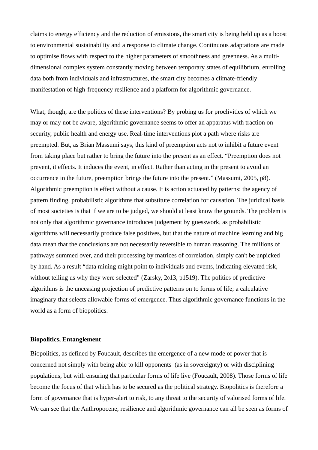claims to energy efficiency and the reduction of emissions, the smart city is being held up as a boost to environmental sustainability and a response to climate change. Continuous adaptations are made to optimise flows with respect to the higher parameters of smoothness and greenness. As a multidimensional complex system constantly moving between temporary states of equilibrium, enrolling data both from individuals and infrastructures, the smart city becomes a climate-friendly manifestation of high-frequency resilience and a platform for algorithmic governance.

What, though, are the politics of these interventions? By probing us for proclivities of which we may or may not be aware, algorithmic governance seems to offer an apparatus with traction on security, public health and energy use. Real-time interventions plot a path where risks are preempted. But, as Brian Massumi says, this kind of preemption acts not to inhibit a future event from taking place but rather to bring the future into the present as an effect. "Preemption does not prevent, it effects. It induces the event, in effect. Rather than acting in the present to avoid an occurrence in the future, preemption brings the future into the present." (Massumi, 2005, p8). Algorithmic preemption is effect without a cause. It is action actuated by patterns; the agency of pattern finding, probabilistic algorithms that substitute correlation for causation. The juridical basis of most societies is that if we are to be judged, we should at least know the grounds. The problem is not only that algorithmic governance introduces judgement by guesswork, as probabilistic algorithms will necessarily produce false positives, but that the nature of machine learning and big data mean that the conclusions are not necessarily reversible to human reasoning. The millions of pathways summed over, and their processing by matrices of correlation, simply can't be unpicked by hand. As a result "data mining might point to individuals and events, indicating elevated risk, without telling us why they were selected" (Zarsky, 2013, p1519). The politics of predictive algorithms is the unceasing projection of predictive patterns on to forms of life; a calculative imaginary that selects allowable forms of emergence. Thus algorithmic governance functions in the world as a form of biopolitics.

## **Biopolitics, Entanglement**

Biopolitics, as defined by Foucault, describes the emergence of a new mode of power that is concerned not simply with being able to kill opponents (as in sovereignty) or with disciplining populations, but with ensuring that particular forms of life live (Foucault, 2008). Those forms of life become the focus of that which has to be secured as the political strategy. Biopolitics is therefore a form of governance that is hyper-alert to risk, to any threat to the security of valorised forms of life. We can see that the Anthropocene, resilience and algorithmic governance can all be seen as forms of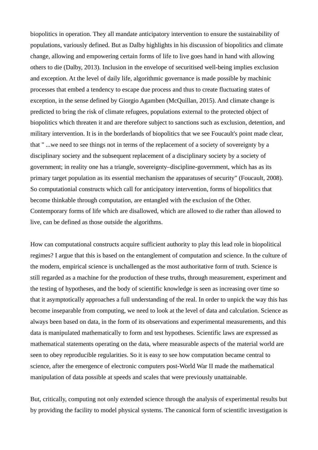biopolitics in operation. They all mandate anticipatory intervention to ensure the sustainability of populations, variously defined. But as Dalby highlights in his discussion of biopolitics and climate change, allowing and empowering certain forms of life to live goes hand in hand with allowing others to die (Dalby, 2013). Inclusion in the envelope of securitised well-being implies exclusion and exception. At the level of daily life, algorithmic governance is made possible by machinic processes that embed a tendency to escape due process and thus to create fluctuating states of exception, in the sense defined by Giorgio Agamben (McQuillan, 2015). And climate change is predicted to bring the risk of climate refugees, populations external to the protected object of biopolitics which threaten it and are therefore subject to sanctions such as exclusion, detention, and military intervention. It is in the borderlands of biopolitics that we see Foucault's point made clear, that " ...we need to see things not in terms of the replacement of a society of sovereignty by a disciplinary society and the subsequent replacement of a disciplinary society by a society of government; in reality one has a triangle, sovereignty–discipline-government, which has as its primary target population as its essential mechanism the apparatuses of security" (Foucault, 2008). So computationial constructs which call for anticipatory intervention, forms of biopolitics that become thinkable through computation, are entangled with the exclusion of the Other. Contemporary forms of life which are disallowed, which are allowed to die rather than allowed to live, can be defined as those outside the algorithms.

How can computational constructs acquire sufficient authority to play this lead role in biopolitical regimes? I argue that this is based on the entanglement of computation and science. In the culture of the modern, empirical science is unchallenged as the most authoritative form of truth. Science is still regarded as a machine for the production of these truths, through measurement, experiment and the testing of hypotheses, and the body of scientific knowledge is seen as increasing over time so that it asymptotically approaches a full understanding of the real. In order to unpick the way this has become inseparable from computing, we need to look at the level of data and calculation. Science as always been based on data, in the form of its observations and experimental measurements, and this data is manipulated mathematically to form and test hypotheses. Scientific laws are expressed as mathematical statements operating on the data, where measurable aspects of the material world are seen to obey reproducible regularities. So it is easy to see how computation became central to science, after the emergence of electronic computers post-World War II made the mathematical manipulation of data possible at speeds and scales that were previously unattainable.

But, critically, computing not only extended science through the analysis of experimental results but by providing the facility to model physical systems. The canonical form of scientific investigation is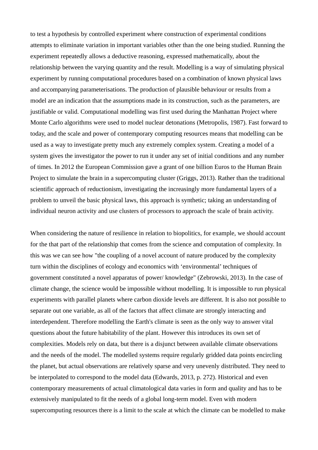to test a hypothesis by controlled experiment where construction of experimental conditions attempts to eliminate variation in important variables other than the one being studied. Running the experiment repeatedly allows a deductive reasoning, expressed mathematically, about the relationship between the varying quantity and the result. Modelling is a way of simulating physical experiment by running computational procedures based on a combination of known physical laws and accompanying parameterisations. The production of plausible behaviour or results from a model are an indication that the assumptions made in its construction, such as the parameters, are justifiable or valid. Computational modelling was first used during the Manhattan Project where Monte Carlo algorithms were used to model nuclear detonations (Metropolis, 1987). Fast forward to today, and the scale and power of contemporary computing resources means that modelling can be used as a way to investigate pretty much any extremely complex system. Creating a model of a system gives the investigator the power to run it under any set of initial conditions and any number of times. In 2012 the European Commission gave a grant of one billion Euros to the Human Brain Project to simulate the brain in a supercomputing cluster (Griggs, 2013). Rather than the traditional scientific approach of reductionism, investigating the increasingly more fundamental layers of a problem to unveil the basic physical laws, this approach is synthetic; taking an understanding of individual neuron activity and use clusters of processors to approach the scale of brain activity.

When considering the nature of resilience in relation to biopolitics, for example, we should account for the that part of the relationship that comes from the science and computation of complexity. In this was we can see how "the coupling of a novel account of nature produced by the complexity turn within the disciplines of ecology and economics with 'environmental' techniques of government constituted a novel apparatus of power/ knowledge" (Zebrowski, 2013). In the case of climate change, the science would be impossible without modelling. It is impossible to run physical experiments with parallel planets where carbon dioxide levels are different. It is also not possible to separate out one variable, as all of the factors that affect climate are strongly interacting and interdependent. Therefore modelling the Earth's climate is seen as the only way to answer vital questions about the future habitability of the plant. However this introduces its own set of complexities. Models rely on data, but there is a disjunct between available climate observations and the needs of the model. The modelled systems require regularly gridded data points encircling the planet, but actual observations are relatively sparse and very unevenly distributed. They need to be interpolated to correspond to the model data (Edwards, 2013, p. 272). Historical and even contemporary measurements of actual climatological data varies in form and quality and has to be extensively manipulated to fit the needs of a global long-term model. Even with modern supercomputing resources there is a limit to the scale at which the climate can be modelled to make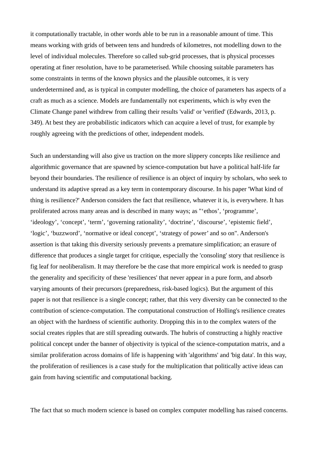it computationally tractable, in other words able to be run in a reasonable amount of time. This means working with grids of between tens and hundreds of kilometres, not modelling down to the level of individual molecules. Therefore so called sub-grid processes, that is physical processes operating at finer resolution, have to be parameterised. While choosing suitable parameters has some constraints in terms of the known physics and the plausible outcomes, it is very underdetermined and, as is typical in computer modelling, the choice of parameters has aspects of a craft as much as a science. Models are fundamentally not experiments, which is why even the Climate Change panel withdrew from calling their results 'valid' or 'verified' (Edwards, 2013, p. 349). At best they are probabilistic indicators which can acquire a level of trust, for example by roughly agreeing with the predictions of other, independent models.

Such an understanding will also give us traction on the more slippery concepts like resilience and algorithmic governance that are spawned by science-computation but have a political half-life far beyond their boundaries. The resilience of resilience is an object of inquiry by scholars, who seek to understand its adaptive spread as a key term in contemporary discourse. In his paper 'What kind of thing is resilience?' Anderson considers the fact that resilience, whatever it is, is everywhere. It has proliferated across many areas and is described in many ways; as "'ethos', 'programme', 'ideology', 'concept', 'term', 'governing rationality', 'doctrine', 'discourse', 'epistemic field', 'logic', 'buzzword', 'normative or ideal concept', 'strategy of power' and so on". Anderson's assertion is that taking this diversity seriously prevents a premature simplification; an erasure of difference that produces a single target for critique, especially the 'consoling' story that resilience is fig leaf for neoliberalism. It may therefore be the case that more empirical work is needed to grasp the generality and specificity of these 'resiliences' that never appear in a pure form, and absorb varying amounts of their precursors (preparedness, risk-based logics). But the argument of this paper is not that resilience is a single concept; rather, that this very diversity can be connected to the contribution of science-computation. The computational construction of Holling's resilience creates an object with the hardness of scientific authority. Dropping this in to the complex waters of the social creates ripples that are still spreading outwards. The hubris of constructing a highly reactive political concept under the banner of objectivity is typical of the science-computation matrix, and a similar proliferation across domains of life is happening with 'algorithms' and 'big data'. In this way, the proliferation of resiliences is a case study for the multiplication that politically active ideas can gain from having scientific and computational backing.

The fact that so much modern science is based on complex computer modelling has raised concerns.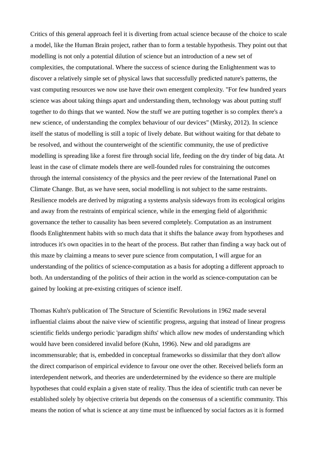Critics of this general approach feel it is diverting from actual science because of the choice to scale a model, like the Human Brain project, rather than to form a testable hypothesis. They point out that modelling is not only a potential dilution of science but an introduction of a new set of complexities, the computational. Where the success of science during the Enlightenment was to discover a relatively simple set of physical laws that successfully predicted nature's patterns, the vast computing resources we now use have their own emergent complexity. "For few hundred years science was about taking things apart and understanding them, technology was about putting stuff together to do things that we wanted. Now the stuff we are putting together is so complex there's a new science, of understanding the complex behaviour of our devices" (Mirsky, 2012). In science itself the status of modelling is still a topic of lively debate. But without waiting for that debate to be resolved, and without the counterweight of the scientific community, the use of predictive modelling is spreading like a forest fire through social life, feeding on the dry tinder of big data. At least in the case of climate models there are well-founded rules for constraining the outcomes through the internal consistency of the physics and the peer review of the International Panel on Climate Change. But, as we have seen, social modelling is not subject to the same restraints. Resilience models are derived by migrating a systems analysis sideways from its ecological origins and away from the restraints of empirical science, while in the emerging field of algorithmic governance the tether to causality has been severed completely. Computation as an instrument floods Enlightenment habits with so much data that it shifts the balance away from hypotheses and introduces it's own opacities in to the heart of the process. But rather than finding a way back out of this maze by claiming a means to sever pure science from computation, I will argue for an understanding of the politics of science-computation as a basis for adopting a different approach to both. An understanding of the politics of their action in the world as science-computation can be gained by looking at pre-existing critiques of science itself.

Thomas Kuhn's publication of The Structure of Scientific Revolutions in 1962 made several influential claims about the naive view of scientific progress, arguing that instead of linear progress scientific fields undergo periodic 'paradigm shifts' which allow new modes of understanding which would have been considered invalid before (Kuhn, 1996). New and old paradigms are incommensurable; that is, embedded in conceptual frameworks so dissimilar that they don't allow the direct comparison of empirical evidence to favour one over the other. Received beliefs form an interdependent network, and theories are underdetermined by the evidence so there are multiple hypotheses that could explain a given state of reality. Thus the idea of scientific truth can never be established solely by objective criteria but depends on the consensus of a scientific community. This means the notion of what is science at any time must be influenced by social factors as it is formed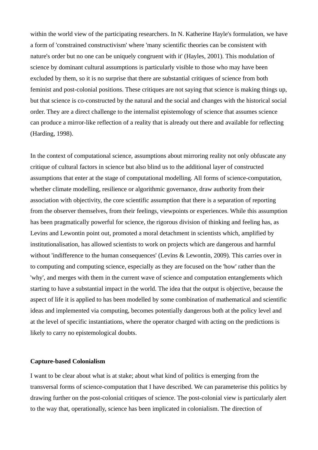within the world view of the participating researchers. In N. Katherine Hayle's formulation, we have a form of 'constrained constructivism' where 'many scientific theories can be consistent with nature's order but no one can be uniquely congruent with it' (Hayles, 2001). This modulation of science by dominant cultural assumptions is particularly visible to those who may have been excluded by them, so it is no surprise that there are substantial critiques of science from both feminist and post-colonial positions. These critiques are not saying that science is making things up, but that science is co-constructed by the natural and the social and changes with the historical social order. They are a direct challenge to the internalist epistemology of science that assumes science can produce a mirror-like reflection of a reality that is already out there and available for reflecting (Harding, 1998).

In the context of computational science, assumptions about mirroring reality not only obfuscate any critique of cultural factors in science but also blind us to the additional layer of constructed assumptions that enter at the stage of computational modelling. All forms of science-computation, whether climate modelling, resilience or algorithmic governance, draw authority from their association with objectivity, the core scientific assumption that there is a separation of reporting from the observer themselves, from their feelings, viewpoints or experiences. While this assumption has been pragmatically powerful for science, the rigorous division of thinking and feeling has, as Levins and Lewontin point out, promoted a moral detachment in scientists which, amplified by institutionalisation, has allowed scientists to work on projects which are dangerous and harmful without 'indifference to the human consequences' (Levins & Lewontin, 2009). This carries over in to computing and computing science, especially as they are focused on the 'how' rather than the 'why', and merges with them in the current wave of science and computation entanglements which starting to have a substantial impact in the world. The idea that the output is objective, because the aspect of life it is applied to has been modelled by some combination of mathematical and scientific ideas and implemented via computing, becomes potentially dangerous both at the policy level and at the level of specific instantiations, where the operator charged with acting on the predictions is likely to carry no epistemological doubts.

#### **Capture-based Colonialism**

I want to be clear about what is at stake; about what kind of politics is emerging from the transversal forms of science-computation that I have described. We can parameterise this politics by drawing further on the post-colonial critiques of science. The post-colonial view is particularly alert to the way that, operationally, science has been implicated in colonialism. The direction of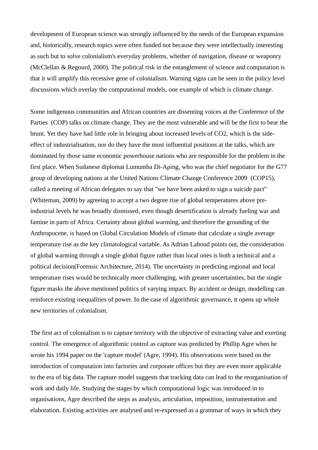development of European science was strongly influenced by the needs of the European expansion and, historically, research topics were often funded not because they were intellectually interesting as such but to solve colonialism's everyday problems, whether of navigation, disease or weaponry (McClellan & Regourd, 2000). The political risk in the entanglement of science and computation is that it will amplify this recessive gene of colonialism. Warning signs can be seen in the policy level discussions which overlay the computational models, one example of which is climate change.

Some indigenous communities and African countries are dissenting voices at the Conference of the Parties (COP) talks on climate change. They are the most vulnerable and will be the first to bear the brunt. Yet they have had little role in bringing about increased levels of CO2, which is the sideeffect of industrialisation, nor do they have the most influential positions at the talks, which are dominated by those same economic powerhouse nations who are responsible for the problem in the first place. When Sudanese diplomat Lumumba Di-Aping, who was the chief negotiator for the G77 group of developing nations at the United Nations Climate Change Conference 2009 (COP15), called a meeting of African delegates to say that "we have been asked to sign a suicide pact" (Whiteman, 2009) by agreeing to accept a two degree rise of global temperatures above preindustrial levels he was broadly dismissed, even though desertification is already fueling war and famine in parts of Africa. Certainty about global warming, and therefore the grounding of the Anthropocene, is based on Global Circulation Models of climate that calculate a single average temperature rise as the key climatological variable. As Adrian Lahoud points out, the consideration of global warming through a single global figure rather than local ones is both a technical and a political decision(Forensic Architecture, 2014). The uncertainty in predicting regional and local temperature rises would be technically more challenging, with greater uncertainties, but the single figure masks the above mentioned politics of varying impact. By accident or design, modelling can reinforce existing inequalities of power. In the case of algorithmic governance, it opens up whole new territories of colonialism.

The first act of colonialism is to capture territory with the objective of extracting value and exerting control. The emergence of algorithmic control as capture was predicted by Phillip Agre when he wrote his 1994 paper on the 'capture model' (Agre, 1994). His observations were based on the introduction of computation into factories and corporate offices but they are even more applicable to the era of big data. The capture model suggests that tracking data can lead to the reorganisation of work and daily life. Studying the stages by which computational logic was introduced in to organisations, Agre described the steps as analysis, articulation, imposition, instrumentation and elaboration. Existing activities are analysed and re-expressed as a grammar of ways in which they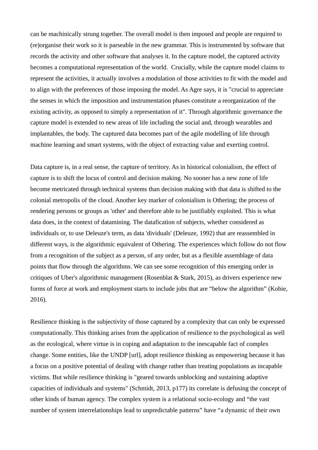can be machinically strung together. The overall model is then imposed and people are required to (re)organise their work so it is parseable in the new grammar. This is instrumented by software that records the activity and other software that analyses it. In the capture model, the captured activity becomes a computational representation of the world. Crucially, while the capture model claims to represent the activities, it actually involves a modulation of those activities to fit with the model and to align with the preferences of those imposing the model. As Agre says, it is "crucial to appreciate the senses in which the imposition and instrumentation phases constitute a reorganization of the existing activity, as opposed to simply a representation of it". Through algorithmic governance the capture model is extended to new areas of life including the social and, through wearables and implantables, the body. The captured data becomes part of the agile modelling of life through machine learning and smart systems, with the object of extracting value and exerting control.

Data capture is, in a real sense, the capture of territory. As in historical colonialism, the effect of capture is to shift the locus of control and decision making. No sooner has a new zone of life become metricated through technical systems than decision making with that data is shifted to the colonial metropolis of the cloud. Another key marker of colonialism is Othering; the process of rendering persons or groups as 'other' and therefore able to be justifiably exploited. This is what data does, in the context of datamining. The datafication of subjects, whether considered as individuals or, to use Deleuze's term, as data 'dividuals' (Deleuze, 1992) that are reassembled in different ways, is the algorithmic equivalent of Othering. The experiences which follow do not flow from a recognition of the subject as a person, of any order, but as a flexible assemblage of data points that flow through the algorithms. We can see some recognition of this emerging order in critiques of Uber's algorithmic management (Rosenblat & Stark, 2015), as drivers experience new forms of force at work and employment starts to include jobs that are "below the algorithm" (Kobie, 2016).

Resilience thinking is the subjectivity of those captured by a complexity that can only be expressed computationally. This thinking arises from the application of resilience to the psychological as well as the ecological, where virtue is in coping and adaptation to the inescapable fact of complex change. Some entities, like the UNDP [url], adopt resilience thinking as empowering because it has a focus on a positive potential of dealing with change rather than treating populations as incapable victims. But while resilience thinking is "geared towards unblocking and sustaining adaptive capacities of individuals and systems" (Schmidt, 2013, p177) its correlate is defusing the concept of other kinds of human agency. The complex system is a relational socio-ecology and "the vast number of system interrelationships lead to unpredictable patterns" have "a dynamic of their own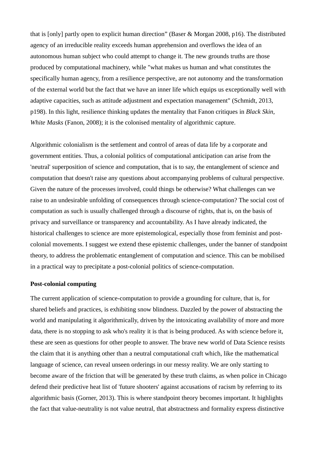that is [only] partly open to explicit human direction" (Baser & Morgan 2008, p16). The distributed agency of an irreducible reality exceeds human apprehension and overflows the idea of an autonomous human subject who could attempt to change it. The new grounds truths are those produced by computational machinery, while "what makes us human and what constitutes the specifically human agency, from a resilience perspective, are not autonomy and the transformation of the external world but the fact that we have an inner life which equips us exceptionally well with adaptive capacities, such as attitude adjustment and expectation management" (Schmidt, 2013, p198). In this light, resilience thinking updates the mentality that Fanon critiques in *Black Skin, White Masks* (Fanon, 2008); it is the colonised mentality of algorithmic capture.

Algorithmic colonialism is the settlement and control of areas of data life by a corporate and government entities. Thus, a colonial politics of computational anticipation can arise from the 'neutral' superposition of science and computation, that is to say, the entanglement of science and computation that doesn't raise any questions about accompanying problems of cultural perspective. Given the nature of the processes involved, could things be otherwise? What challenges can we raise to an undesirable unfolding of consequences through science-computation? The social cost of computation as such is usually challenged through a discourse of rights, that is, on the basis of privacy and surveillance or transparency and accountability. As I have already indicated, the historical challenges to science are more epistemological, especially those from feminist and postcolonial movements. I suggest we extend these epistemic challenges, under the banner of standpoint theory, to address the problematic entanglement of computation and science. This can be mobilised in a practical way to precipitate a post-colonial politics of science-computation.

# **Post-colonial computing**

The current application of science-computation to provide a grounding for culture, that is, for shared beliefs and practices, is exhibiting snow blindness. Dazzled by the power of abstracting the world and manipulating it algorithmically, driven by the intoxicating availability of more and more data, there is no stopping to ask who's reality it is that is being produced. As with science before it, these are seen as questions for other people to answer. The brave new world of Data Science resists the claim that it is anything other than a neutral computational craft which, like the mathematical language of science, can reveal unseen orderings in our messy reality. We are only starting to become aware of the friction that will be generated by these truth claims, as when police in Chicago defend their predictive heat list of 'future shooters' against accusations of racism by referring to its algorithmic basis (Gorner, 2013). This is where standpoint theory becomes important. It highlights the fact that value-neutrality is not value neutral, that abstractness and formality express distinctive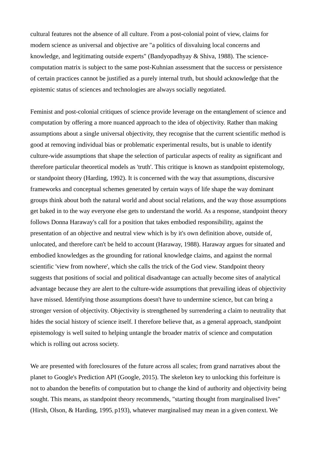cultural features not the absence of all culture. From a post-colonial point of view, claims for modern science as universal and objective are "a politics of disvaluing local concerns and knowledge, and legitimating outside experts" (Bandyopadhyay & Shiva, 1988). The sciencecomputation matrix is subject to the same post-Kuhnian assessment that the success or persistence of certain practices cannot be justified as a purely internal truth, but should acknowledge that the epistemic status of sciences and technologies are always socially negotiated.

Feminist and post-colonial critiques of science provide leverage on the entanglement of science and computation by offering a more nuanced approach to the idea of objectivity. Rather than making assumptions about a single universal objectivity, they recognise that the current scientific method is good at removing individual bias or problematic experimental results, but is unable to identify culture-wide assumptions that shape the selection of particular aspects of reality as significant and therefore particular theoretical models as 'truth'. This critique is known as standpoint epistemology, or standpoint theory (Harding, 1992). It is concerned with the way that assumptions, discursive frameworks and conceptual schemes generated by certain ways of life shape the way dominant groups think about both the natural world and about social relations, and the way those assumptions get baked in to the way everyone else gets to understand the world. As a response, standpoint theory follows Donna Haraway's call for a position that takes embodied responsibility, against the presentation of an objective and neutral view which is by it's own definition above, outside of, unlocated, and therefore can't be held to account (Haraway, 1988). Haraway argues for situated and embodied knowledges as the grounding for rational knowledge claims, and against the normal scientific 'view from nowhere', which she calls the trick of the God view. Standpoint theory suggests that positions of social and political disadvantage can actually become sites of analytical advantage because they are alert to the culture-wide assumptions that prevailing ideas of objectivity have missed. Identifying those assumptions doesn't have to undermine science, but can bring a stronger version of objectivity. Objectivity is strengthened by surrendering a claim to neutrality that hides the social history of science itself. I therefore believe that, as a general approach, standpoint epistemology is well suited to helping untangle the broader matrix of science and computation which is rolling out across society.

We are presented with foreclosures of the future across all scales; from grand narratives about the planet to Google's Prediction API (Google, 2015). The skeleton key to unlocking this forfeiture is not to abandon the benefits of computation but to change the kind of authority and objectivity being sought. This means, as standpoint theory recommends, "starting thought from marginalised lives" (Hirsh, Olson, & Harding, 1995, p193), whatever marginalised may mean in a given context. We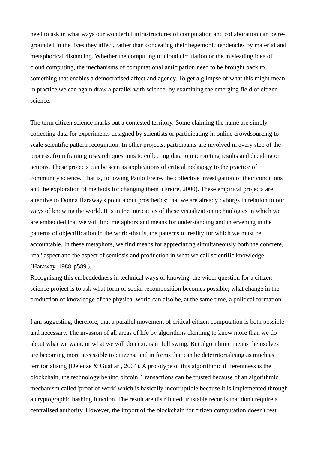need to ask in what ways our wonderful infrastructures of computation and collaboration can be regrounded in the lives they affect, rather than concealing their hegemonic tendencies by material and metaphorical distancing. Whether the computing of cloud circulation or the misleading idea of cloud computing, the mechanisms of computational anticipation need to be brought back to something that enables a democratised affect and agency. To get a glimpse of what this might mean in practice we can again draw a parallel with science, by examining the emerging field of citizen science.

The term citizen science marks out a contested territory. Some claiming the name are simply collecting data for experiments designed by scientists or participating in online crowdsourcing to scale scientific pattern recognition. In other projects, participants are involved in every step of the process, from framing research questions to collecting data to interpreting results and deciding on actions. These projects can be seen as applications of critical pedagogy to the practice of community science. That is, following Paulo Freire, the collective investigation of their conditions and the exploration of methods for changing them (Freire, 2000). These empirical projects are attentive to Donna Haraway's point about prosthetics; that we are already cyborgs in relation to our ways of knowing the world. It is in the intricacies of these visualization technologies in which we are embedded that we will find metaphors and means for understanding and intervening in the patterns of objectification in the world-that is, the patterns of reality for which we must be accountable. In these metaphors, we find means for appreciating simultaneously both the concrete, 'real' aspect and the aspect of semiosis and production in what we call scientific knowledge (Haraway, 1988, p589 ).

Recognising this embeddedness in technical ways of knowing, the wider question for a citizen science project is to ask what form of social recomposition becomes possible; what change in the production of knowledge of the physical world can also be, at the same time, a political formation.

I am suggesting, therefore, that a parallel movement of critical citizen computation is both possible and necessary. The invasion of all areas of life by algorithms claiming to know more than we do about what we want, or what we will do next, is in full swing. But algorithmic means themselves are becoming more accessible to citizens, and in forms that can be deterritorialising as much as territorialising (Deleuze & Guattari, 2004). A prototype of this algorithmic differentness is the blockchain, the technology behind bitcoin. Transactions can be trusted because of an algorithmic mechanism called 'proof of work' which is basically incorruptible because it is implemented through a cryptographic hashing function. The result are distributed, trustable records that don't require a centralised authority. However, the import of the blockchain for citizen computation doesn't rest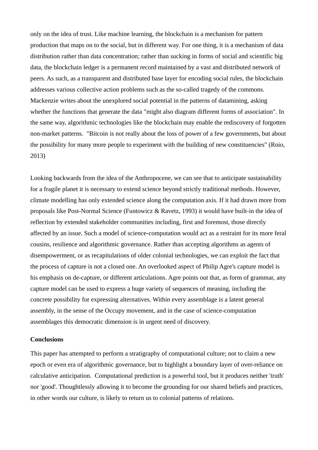only on the idea of trust. Like machine learning, the blockchain is a mechanism for pattern production that maps on to the social, but in different way. For one thing, it is a mechanism of data distribution rather than data concentration; rather than sucking in forms of social and scientific big data, the blockchain ledger is a permanent record maintained by a vast and distributed network of peers. As such, as a transparent and distributed base layer for encoding social rules, the blockchain addresses various collective action problems such as the so-called tragedy of the commons. Mackenzie writes about the unexplored social potential in the patterns of datamining, asking whether the functions that generate the data "might also diagram different forms of association". In the same way, algorithmic technologies like the blockchain may enable the rediscovery of forgotten non-market patterns. "Bitcoin is not really about the loss of power of a few governments, but about the possibility for many more people to experiment with the building of new constituencies" (Roio, 2013)

Looking backwards from the idea of the Anthropocene, we can see that to anticipate sustainability for a fragile planet it is necessary to extend science beyond strictly traditional methods. However, climate modelling has only extended science along the computation axis. If it had drawn more from proposals like Post-Normal Science (Funtowicz & Ravetz, 1993) it would have built-in the idea of reflection by extended stakeholder communities including, first and foremost, those directly affected by an issue. Such a model of science-computation would act as a restraint for its more feral cousins, resilience and algorithmic governance. Rather than accepting algorithms as agents of disempowerment, or as recapitulations of older colonial technologies, we can exploit the fact that the process of capture is not a closed one. An overlooked aspect of Philip Agre's capture model is his emphasis on de-capture, or different articulations. Agre points out that, as form of grammar, any capture model can be used to express a huge variety of sequences of meaning, including the concrete possibility for expressing alternatives. Within every assemblage is a latent general assembly, in the sense of the Occupy movement, and in the case of science-computation assemblages this democratic dimension is in urgent need of discovery.

# **Conclusions**

This paper has attempted to perform a stratigraphy of computational culture; not to claim a new epoch or even era of algorithmic governance, but to highlight a boundary layer of over-reliance on calculative anticipation. Computational prediction is a powerful tool, but it produces neither 'truth' nor 'good'. Thoughtlessly allowing it to become the grounding for our shared beliefs and practices, in other words our culture, is likely to return us to colonial patterns of relations.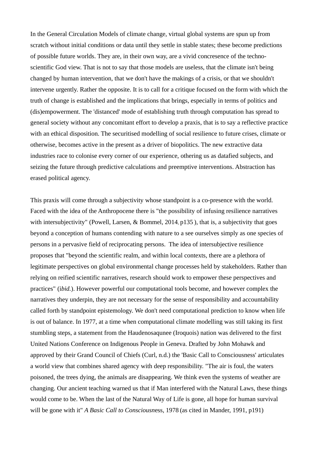In the General Circulation Models of climate change, virtual global systems are spun up from scratch without initial conditions or data until they settle in stable states; these become predictions of possible future worlds. They are, in their own way, are a vivid concresence of the technoscientific God view. That is not to say that those models are useless, that the climate isn't being changed by human intervention, that we don't have the makings of a crisis, or that we shouldn't intervene urgently. Rather the opposite. It is to call for a critique focused on the form with which the truth of change is established and the implications that brings, especially in terms of politics and (dis)empowerment. The 'distanced' mode of establishing truth through computation has spread to general society without any concomitant effort to develop a praxis, that is to say a reflective practice with an ethical disposition. The securitised modelling of social resilience to future crises, climate or otherwise, becomes active in the present as a driver of biopolitics. The new extractive data industries race to colonise every corner of our experience, othering us as datafied subjects, and seizing the future through predictive calculations and preemptive interventions. Abstraction has erased political agency.

This praxis will come through a subjectivity whose standpoint is a co-presence with the world. Faced with the idea of the Anthropocene there is "the possibility of infusing resilience narratives with intersubjectivity" (Powell, Larsen, & Bommel, 2014, p135), that is, a subjectivity that goes beyond a conception of humans contending with nature to a see ourselves simply as one species of persons in a pervasive field of reciprocating persons. The idea of intersubjective resilience proposes that "beyond the scientific realm, and within local contexts, there are a plethora of legitimate perspectives on global environmental change processes held by stakeholders. Rather than relying on reified scientific narratives, research should work to empower these perspectives and practices" (i*bid.*). However powerful our computational tools become, and however complex the narratives they underpin, they are not necessary for the sense of responsibility and accountability called forth by standpoint epistemology. We don't need computational prediction to know when life is out of balance. In 1977, at a time when computational climate modelling was still taking its first stumbling steps, a statement from the Haudenosaqunee (Iroquois) nation was delivered to the first United Nations Conference on Indigenous People in Geneva. Drafted by John Mohawk and approved by their Grand Council of Chiefs (Curl, n.d.) the 'Basic Call to Consciousness' articulates a world view that combines shared agency with deep responsibility. "The air is foul, the waters poisoned, the trees dying, the animals are disappearing. We think even the systems of weather are changing. Our ancient teaching warned us that if Man interfered with the Natural Laws, these things would come to be. When the last of the Natural Way of Life is gone, all hope for human survival will be gone with it" *A Basic Call to Consciousn*ess, 1978 (as cited in Mander, 1991, p191)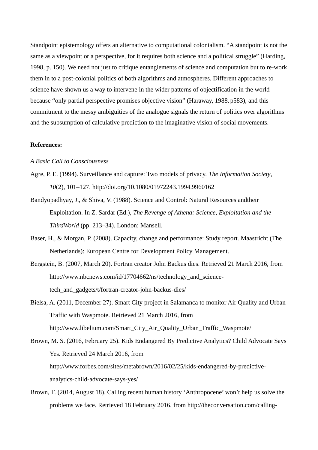Standpoint epistemology offers an alternative to computational colonialism. "A standpoint is not the same as a viewpoint or a perspective, for it requires both science and a political struggle" (Harding, 1998, p. 150). We need not just to critique entanglements of science and computation but to re-work them in to a post-colonial politics of both algorithms and atmospheres. Different approaches to science have shown us a way to intervene in the wider patterns of objectification in the world because "only partial perspective promises objective vision" (Haraway, 1988, p583), and this commitment to the messy ambiguities of the analogue signals the return of politics over algorithms and the subsumption of calculative prediction to the imaginative vision of social movements.

## **References:**

# *A Basic Call to Consciousness*

- Agre, P. E. (1994). Surveillance and capture: Two models of privacy. *The Information Society*, *10*(2), 101–127. http://doi.org/10.1080/01972243.1994.9960162
- Bandyopadhyay, J., & Shiva, V. (1988). Science and Control: Natural Resources andtheir Exploitation. In Z. Sardar (Ed.), *The Revenge of Athena: Science, Exploitation and the ThirdWorld* (pp. 213–34). London: Mansell.
- Baser, H., & Morgan, P. (2008). Capacity, change and performance: Study report. Maastricht (The Netherlands): European Centre for Development Policy Management.
- Bergstein, B. (2007, March 20). Fortran creator John Backus dies. Retrieved 21 March 2016, from http://www.nbcnews.com/id/17704662/ns/technology\_and\_sciencetech\_and\_gadgets/t/fortran-creator-john-backus-dies/
- Bielsa, A. (2011, December 27). Smart City project in Salamanca to monitor Air Quality and Urban Traffic with Waspmote. Retrieved 21 March 2016, from http://www.libelium.com/Smart\_City\_Air\_Quality\_Urban\_Traffic\_Waspmote/
- Brown, M. S. (2016, February 25). Kids Endangered By Predictive Analytics? Child Advocate Says Yes. Retrieved 24 March 2016, from http://www.forbes.com/sites/metabrown/2016/02/25/kids-endangered-by-predictiveanalytics-child-advocate-says-yes/
- Brown, T. (2014, August 18). Calling recent human history 'Anthropocene' won't help us solve the problems we face. Retrieved 18 February 2016, from http://theconversation.com/calling-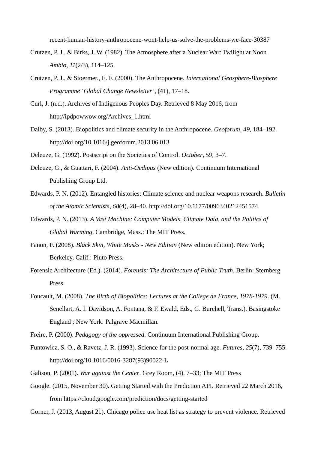recent-human-history-anthropocene-wont-help-us-solve-the-problems-we-face-30387

- Crutzen, P. J., & Birks, J. W. (1982). The Atmosphere after a Nuclear War: Twilight at Noon. *Ambio*, *11*(2/3), 114–125.
- Crutzen, P. J., & Stoermer., E. F. (2000). The Anthropocene. *International Geosphere-Biosphere Programme 'Global Change Newsletter'*, (41), 17–18.
- Curl, J. (n.d.). Archives of Indigenous Peoples Day. Retrieved 8 May 2016, from http://ipdpowwow.org/Archives\_1.html
- Dalby, S. (2013). Biopolitics and climate security in the Anthropocene. *Geoforum*, *49*, 184–192. http://doi.org/10.1016/j.geoforum.2013.06.013

Deleuze, G. (1992). Postscript on the Societies of Control. *October*, *59*, 3–7.

- Deleuze, G., & Guattari, F. (2004). *Anti-Oedipus* (New edition). Continuum International Publishing Group Ltd.
- Edwards, P. N. (2012). Entangled histories: Climate science and nuclear weapons research. *Bulletin of the Atomic Scientists*, *68*(4), 28–40. http://doi.org/10.1177/0096340212451574
- Edwards, P. N. (2013). *A Vast Machine: Computer Models, Climate Data, and the Politics of Global Warming*. Cambridge, Mass.: The MIT Press.
- Fanon, F. (2008). *Black Skin, White Masks New Edition* (New edition edition). New York; Berkeley, Calif.: Pluto Press.
- Forensic Architecture (Ed.). (2014). *Forensis: The Architecture of Public Truth*. Berlin: Sternberg Press.
- Foucault, M. (2008). *The Birth of Biopolitics: Lectures at the College de France, 1978-1979*. (M. Senellart, A. I. Davidson, A. Fontana, & F. Ewald, Eds., G. Burchell, Trans.). Basingstoke England ; New York: Palgrave Macmillan.

Freire, P. (2000). *Pedagogy of the oppressed*. Continuum International Publishing Group.

- Funtowicz, S. O., & Ravetz, J. R. (1993). Science for the post-normal age. *Futures*, *25*(7), 739–755. http://doi.org/10.1016/0016-3287(93)90022-L
- Galison, P. (2001). *War against the Center*. Grey Room, (4), 7–33; The MIT Press
- Google. (2015, November 30). Getting Started with the Prediction API. Retrieved 22 March 2016, from https://cloud.google.com/prediction/docs/getting-started

Gorner, J. (2013, August 21). Chicago police use heat list as strategy to prevent violence. Retrieved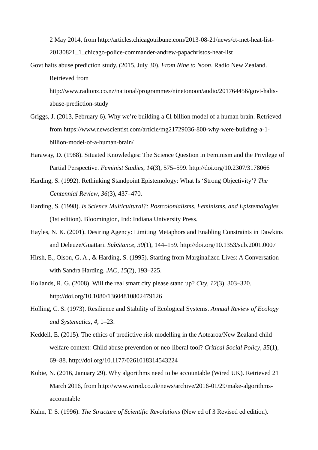2 May 2014, from http://articles.chicagotribune.com/2013-08-21/news/ct-met-heat-list-20130821\_1\_chicago-police-commander-andrew-papachristos-heat-list

Govt halts abuse prediction study. (2015, July 30). *From Nine to Noon*. Radio New Zealand. Retrieved from

http://www.radionz.co.nz/national/programmes/ninetonoon/audio/201764456/govt-haltsabuse-prediction-study

- Griggs, J. (2013, February 6). Why we're building a  $\epsilon$ 1 billion model of a human brain. Retrieved from https://www.newscientist.com/article/mg21729036-800-why-were-building-a-1 billion-model-of-a-human-brain/
- Haraway, D. (1988). Situated Knowledges: The Science Question in Feminism and the Privilege of Partial Perspective. *Feminist Studies*, *14*(3), 575–599. http://doi.org/10.2307/3178066
- Harding, S. (1992). Rethinking Standpoint Epistemology: What Is 'Strong Objectivity'? *The Centennial Review*, *36*(3), 437–470.
- Harding, S. (1998). *Is Science Multicultural?: Postcolonialisms, Feminisms, and Epistemologies* (1st edition). Bloomington, Ind: Indiana University Press.
- Hayles, N. K. (2001). Desiring Agency: Limiting Metaphors and Enabling Constraints in Dawkins and Deleuze/Guattari. *SubStance*, *30*(1), 144–159. http://doi.org/10.1353/sub.2001.0007
- Hirsh, E., Olson, G. A., & Harding, S. (1995). Starting from Marginalized Lives: A Conversation with Sandra Harding. *JAC*, *15*(2), 193–225.
- Hollands, R. G. (2008). Will the real smart city please stand up? *City*, *12*(3), 303–320. http://doi.org/10.1080/13604810802479126
- Holling, C. S. (1973). Resilience and Stability of Ecological Systems. *Annual Review of Ecology and Systematics*, *4*, 1–23.
- Keddell, E. (2015). The ethics of predictive risk modelling in the Aotearoa/New Zealand child welfare context: Child abuse prevention or neo-liberal tool? *Critical Social Policy*, *35*(1), 69–88. http://doi.org/10.1177/0261018314543224
- Kobie, N. (2016, January 29). Why algorithms need to be accountable (Wired UK). Retrieved 21 March 2016, from http://www.wired.co.uk/news/archive/2016-01/29/make-algorithmsaccountable

Kuhn, T. S. (1996). *The Structure of Scientific Revolutions* (New ed of 3 Revised ed edition).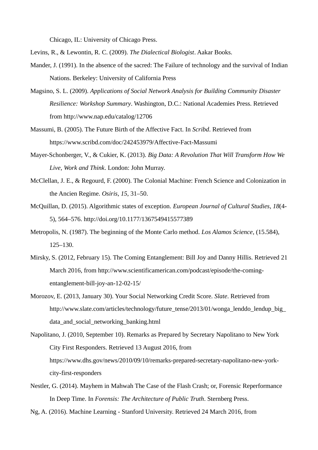Chicago, IL: University of Chicago Press.

Levins, R., & Lewontin, R. C. (2009). *The Dialectical Biologist*. Aakar Books.

- Mander, J. (1991). In the absence of the sacred: The Failure of technology and the survival of Indian Nations. Berkeley: University of California Press
- Magsino, S. L. (2009). *Applications of Social Network Analysis for Building Community Disaster Resilience: Workshop Summary*. Washington, D.C.: National Academies Press. Retrieved from http://www.nap.edu/catalog/12706
- Massumi, B. (2005). The Future Birth of the Affective Fact. In *Scribd*. Retrieved from https://www.scribd.com/doc/242453979/Affective-Fact-Massumi
- Mayer-Schonberger, V., & Cukier, K. (2013). *Big Data: A Revolution That Will Transform How We Live, Work and Think*. London: John Murray.
- McClellan, J. E., & Regourd, F. (2000). The Colonial Machine: French Science and Colonization in the Ancien Regime. *Osiris*, *15*, 31–50.
- McQuillan, D. (2015). Algorithmic states of exception. *European Journal of Cultural Studies*, *18*(4- 5), 564–576. http://doi.org/10.1177/1367549415577389
- Metropolis, N. (1987). The beginning of the Monte Carlo method. *Los Alamos Science*, (15.584), 125–130.
- Mirsky, S. (2012, February 15). The Coming Entanglement: Bill Joy and Danny Hillis. Retrieved 21 March 2016, from http://www.scientificamerican.com/podcast/episode/the-comingentanglement-bill-joy-an-12-02-15/
- Morozov, E. (2013, January 30). Your Social Networking Credit Score. *Slate*. Retrieved from http://www.slate.com/articles/technology/future\_tense/2013/01/wonga\_lenddo\_lendup\_big data and social networking banking.html
- Napolitano, J. (2010, September 10). Remarks as Prepared by Secretary Napolitano to New York City First Responders. Retrieved 13 August 2016, from https://www.dhs.gov/news/2010/09/10/remarks-prepared-secretary-napolitano-new-yorkcity-first-responders
- Nestler, G. (2014). Mayhem in Mahwah The Case of the Flash Crash; or, Forensic Reperformance In Deep Time. In *Forensis: The Architecture of Public Truth*. Sternberg Press.
- Ng, A. (2016). Machine Learning Stanford University. Retrieved 24 March 2016, from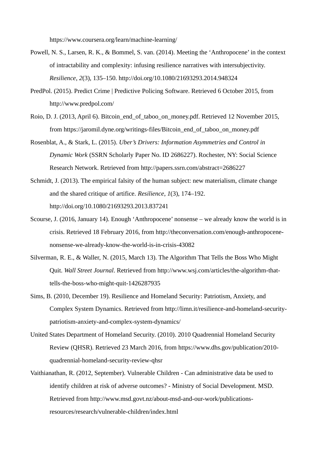https://www.coursera.org/learn/machine-learning/

- Powell, N. S., Larsen, R. K., & Bommel, S. van. (2014). Meeting the 'Anthropocene' in the context of intractability and complexity: infusing resilience narratives with intersubjectivity. *Resilience*, *2*(3), 135–150. http://doi.org/10.1080/21693293.2014.948324
- PredPol. (2015). Predict Crime | Predictive Policing Software. Retrieved 6 October 2015, from http://www.predpol.com/
- Roio, D. J. (2013, April 6). Bitcoin\_end\_of\_taboo\_on\_money.pdf. Retrieved 12 November 2015, from https://jaromil.dyne.org/writings-files/Bitcoin\_end\_of\_taboo\_on\_money.pdf
- Rosenblat, A., & Stark, L. (2015). *Uber's Drivers: Information Asymmetries and Control in Dynamic Work* (SSRN Scholarly Paper No. ID 2686227). Rochester, NY: Social Science Research Network. Retrieved from http://papers.ssrn.com/abstract=2686227
- Schmidt, J. (2013). The empirical falsity of the human subject: new materialism, climate change and the shared critique of artifice. *Resilience*, *1*(3), 174–192. http://doi.org/10.1080/21693293.2013.837241
- Scourse, J. (2016, January 14). Enough 'Anthropocene' nonsense we already know the world is in crisis. Retrieved 18 February 2016, from http://theconversation.com/enough-anthropocenenonsense-we-already-know-the-world-is-in-crisis-43082
- Silverman, R. E., & Waller, N. (2015, March 13). The Algorithm That Tells the Boss Who Might Quit. *Wall Street Journal*. Retrieved from http://www.wsj.com/articles/the-algorithm-thattells-the-boss-who-might-quit-1426287935
- Sims, B. (2010, December 19). Resilience and Homeland Security: Patriotism, Anxiety, and Complex System Dynamics. Retrieved from http://limn.it/resilience-and-homeland-securitypatriotism-anxiety-and-complex-system-dynamics/
- United States Department of Homeland Security. (2010). 2010 Quadrennial Homeland Security Review (QHSR). Retrieved 23 March 2016, from https://www.dhs.gov/publication/2010 quadrennial-homeland-security-review-qhsr
- Vaithianathan, R. (2012, September). Vulnerable Children Can administrative data be used to identify children at risk of adverse outcomes? - Ministry of Social Development. MSD. Retrieved from http://www.msd.govt.nz/about-msd-and-our-work/publicationsresources/research/vulnerable-children/index.html